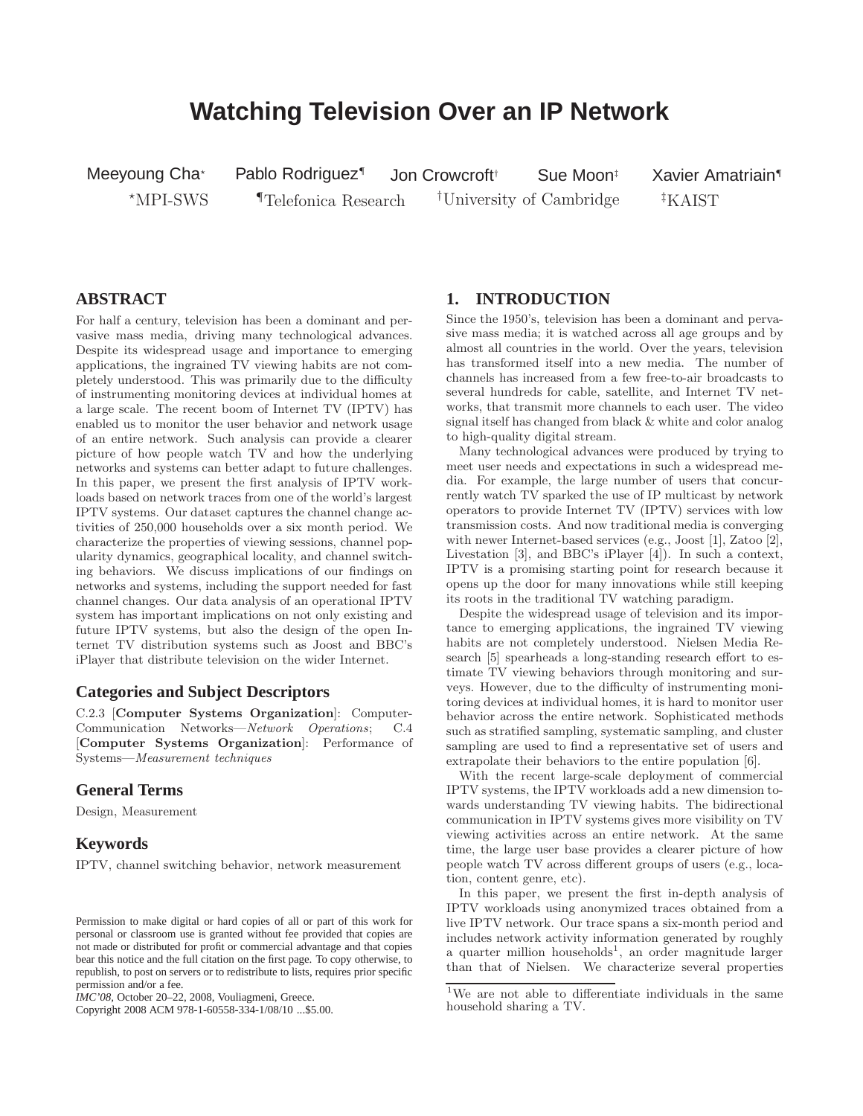# **Watching Television Over an IP Network**

Meeyoung Cha<sup>\*</sup> Pablo Rodriguez<sup>¶</sup>

<sup>⋆</sup>MPI-SWS ¶Telefonica Research †University of Cambridge ‡KAIST

Jon Crowcroft<sup>†</sup> Sue Moon<sup>‡</sup> Xavier Amatriain<sup>¶</sup>

# **ABSTRACT**

For half a century, television has been a dominant and pervasive mass media, driving many technological advances. Despite its widespread usage and importance to emerging applications, the ingrained TV viewing habits are not completely understood. This was primarily due to the difficulty of instrumenting monitoring devices at individual homes at a large scale. The recent boom of Internet TV (IPTV) has enabled us to monitor the user behavior and network usage of an entire network. Such analysis can provide a clearer picture of how people watch TV and how the underlying networks and systems can better adapt to future challenges. In this paper, we present the first analysis of IPTV workloads based on network traces from one of the world's largest IPTV systems. Our dataset captures the channel change activities of 250,000 households over a six month period. We characterize the properties of viewing sessions, channel popularity dynamics, geographical locality, and channel switching behaviors. We discuss implications of our findings on networks and systems, including the support needed for fast channel changes. Our data analysis of an operational IPTV system has important implications on not only existing and future IPTV systems, but also the design of the open Internet TV distribution systems such as Joost and BBC's iPlayer that distribute television on the wider Internet.

# **Categories and Subject Descriptors**

C.2.3 [Computer Systems Organization]: Computer-Communication Networks—Network Operations; C.4 [Computer Systems Organization]: Performance of Systems—Measurement techniques

# **General Terms**

Design, Measurement

# **Keywords**

IPTV, channel switching behavior, network measurement

Copyright 2008 ACM 978-1-60558-334-1/08/10 ...\$5.00.

# **1. INTRODUCTION**

Since the 1950's, television has been a dominant and pervasive mass media; it is watched across all age groups and by almost all countries in the world. Over the years, television has transformed itself into a new media. The number of channels has increased from a few free-to-air broadcasts to several hundreds for cable, satellite, and Internet TV networks, that transmit more channels to each user. The video signal itself has changed from black & white and color analog to high-quality digital stream.

Many technological advances were produced by trying to meet user needs and expectations in such a widespread media. For example, the large number of users that concurrently watch TV sparked the use of IP multicast by network operators to provide Internet TV (IPTV) services with low transmission costs. And now traditional media is converging with newer Internet-based services (e.g., Joost [1], Zatoo [2], Livestation [3], and BBC's iPlayer [4]). In such a context, IPTV is a promising starting point for research because it opens up the door for many innovations while still keeping its roots in the traditional TV watching paradigm.

Despite the widespread usage of television and its importance to emerging applications, the ingrained TV viewing habits are not completely understood. Nielsen Media Research [5] spearheads a long-standing research effort to estimate TV viewing behaviors through monitoring and surveys. However, due to the difficulty of instrumenting monitoring devices at individual homes, it is hard to monitor user behavior across the entire network. Sophisticated methods such as stratified sampling, systematic sampling, and cluster sampling are used to find a representative set of users and extrapolate their behaviors to the entire population [6].

With the recent large-scale deployment of commercial IPTV systems, the IPTV workloads add a new dimension towards understanding TV viewing habits. The bidirectional communication in IPTV systems gives more visibility on TV viewing activities across an entire network. At the same time, the large user base provides a clearer picture of how people watch TV across different groups of users (e.g., location, content genre, etc).

In this paper, we present the first in-depth analysis of IPTV workloads using anonymized traces obtained from a live IPTV network. Our trace spans a six-month period and includes network activity information generated by roughly a quarter million households<sup>1</sup>, an order magnitude larger than that of Nielsen. We characterize several properties

Permission to make digital or hard copies of all or part of this work for personal or classroom use is granted without fee provided that copies are not made or distributed for profit or commercial advantage and that copies bear this notice and the full citation on the first page. To copy otherwise, to republish, to post on servers or to redistribute to lists, requires prior specific permission and/or a fee.

*IMC'08,* October 20–22, 2008, Vouliagmeni, Greece.

 $1$ We are not able to differentiate individuals in the same household sharing a TV.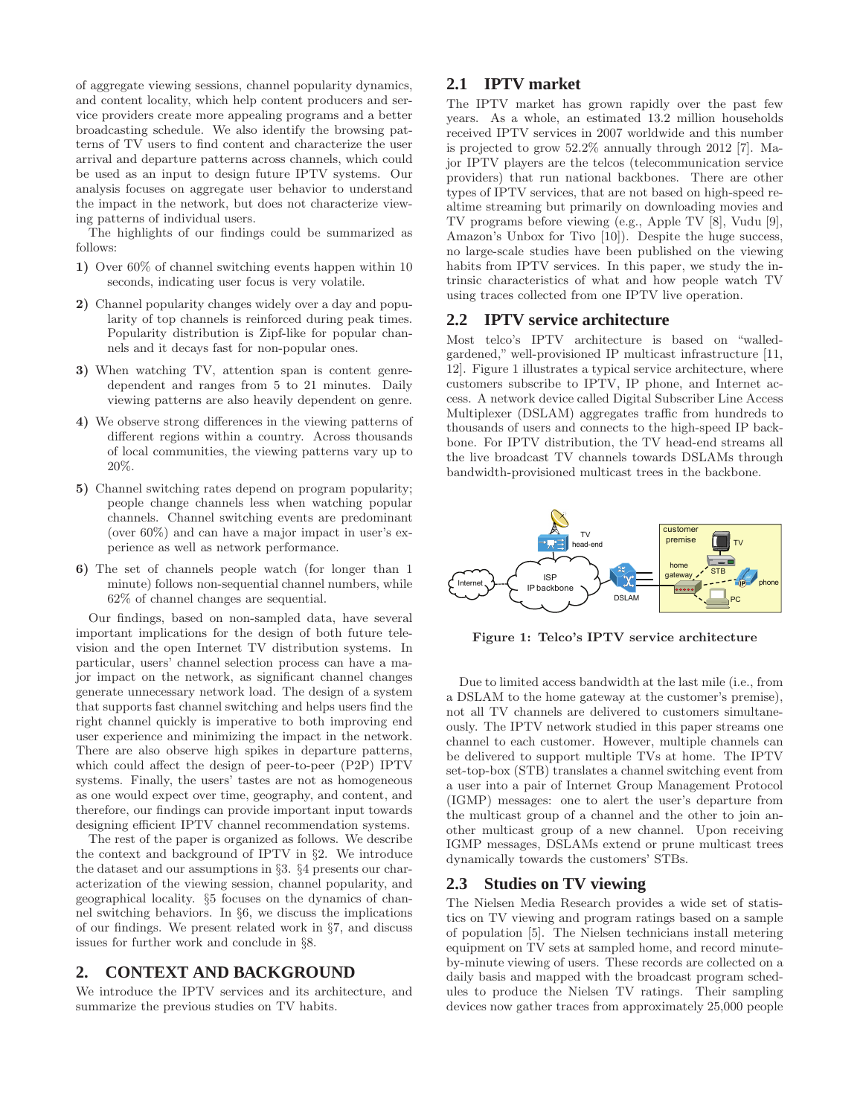of aggregate viewing sessions, channel popularity dynamics, and content locality, which help content producers and service providers create more appealing programs and a better broadcasting schedule. We also identify the browsing patterns of TV users to find content and characterize the user arrival and departure patterns across channels, which could be used as an input to design future IPTV systems. Our analysis focuses on aggregate user behavior to understand the impact in the network, but does not characterize viewing patterns of individual users.

The highlights of our findings could be summarized as follows:

- 1) Over 60% of channel switching events happen within 10 seconds, indicating user focus is very volatile.
- 2) Channel popularity changes widely over a day and popularity of top channels is reinforced during peak times. Popularity distribution is Zipf-like for popular channels and it decays fast for non-popular ones.
- 3) When watching TV, attention span is content genredependent and ranges from 5 to 21 minutes. Daily viewing patterns are also heavily dependent on genre.
- 4) We observe strong differences in the viewing patterns of different regions within a country. Across thousands of local communities, the viewing patterns vary up to 20%.
- 5) Channel switching rates depend on program popularity; people change channels less when watching popular channels. Channel switching events are predominant (over 60%) and can have a major impact in user's experience as well as network performance.
- 6) The set of channels people watch (for longer than 1 minute) follows non-sequential channel numbers, while 62% of channel changes are sequential.

Our findings, based on non-sampled data, have several important implications for the design of both future television and the open Internet TV distribution systems. In particular, users' channel selection process can have a major impact on the network, as significant channel changes generate unnecessary network load. The design of a system that supports fast channel switching and helps users find the right channel quickly is imperative to both improving end user experience and minimizing the impact in the network. There are also observe high spikes in departure patterns, which could affect the design of peer-to-peer (P2P) IPTV systems. Finally, the users' tastes are not as homogeneous as one would expect over time, geography, and content, and therefore, our findings can provide important input towards designing efficient IPTV channel recommendation systems.

The rest of the paper is organized as follows. We describe the context and background of IPTV in §2. We introduce the dataset and our assumptions in §3. §4 presents our characterization of the viewing session, channel popularity, and geographical locality. §5 focuses on the dynamics of channel switching behaviors. In §6, we discuss the implications of our findings. We present related work in §7, and discuss issues for further work and conclude in §8.

# **2. CONTEXT AND BACKGROUND**

We introduce the IPTV services and its architecture, and summarize the previous studies on TV habits.

# **2.1 IPTV market**

The IPTV market has grown rapidly over the past few years. As a whole, an estimated 13.2 million households received IPTV services in 2007 worldwide and this number is projected to grow 52.2% annually through 2012 [7]. Major IPTV players are the telcos (telecommunication service providers) that run national backbones. There are other types of IPTV services, that are not based on high-speed realtime streaming but primarily on downloading movies and TV programs before viewing (e.g., Apple TV [8], Vudu [9], Amazon's Unbox for Tivo [10]). Despite the huge success, no large-scale studies have been published on the viewing habits from IPTV services. In this paper, we study the intrinsic characteristics of what and how people watch TV using traces collected from one IPTV live operation.

## **2.2 IPTV service architecture**

Most telco's IPTV architecture is based on "walledgardened," well-provisioned IP multicast infrastructure [11, 12]. Figure 1 illustrates a typical service architecture, where customers subscribe to IPTV, IP phone, and Internet access. A network device called Digital Subscriber Line Access Multiplexer (DSLAM) aggregates traffic from hundreds to thousands of users and connects to the high-speed IP backbone. For IPTV distribution, the TV head-end streams all the live broadcast TV channels towards DSLAMs through bandwidth-provisioned multicast trees in the backbone.



Figure 1: Telco's IPTV service architecture

Due to limited access bandwidth at the last mile (i.e., from a DSLAM to the home gateway at the customer's premise), not all TV channels are delivered to customers simultaneously. The IPTV network studied in this paper streams one channel to each customer. However, multiple channels can be delivered to support multiple TVs at home. The IPTV set-top-box (STB) translates a channel switching event from a user into a pair of Internet Group Management Protocol (IGMP) messages: one to alert the user's departure from the multicast group of a channel and the other to join another multicast group of a new channel. Upon receiving IGMP messages, DSLAMs extend or prune multicast trees dynamically towards the customers' STBs.

# **2.3 Studies on TV viewing**

The Nielsen Media Research provides a wide set of statistics on TV viewing and program ratings based on a sample of population [5]. The Nielsen technicians install metering equipment on TV sets at sampled home, and record minuteby-minute viewing of users. These records are collected on a daily basis and mapped with the broadcast program schedules to produce the Nielsen TV ratings. Their sampling devices now gather traces from approximately 25,000 people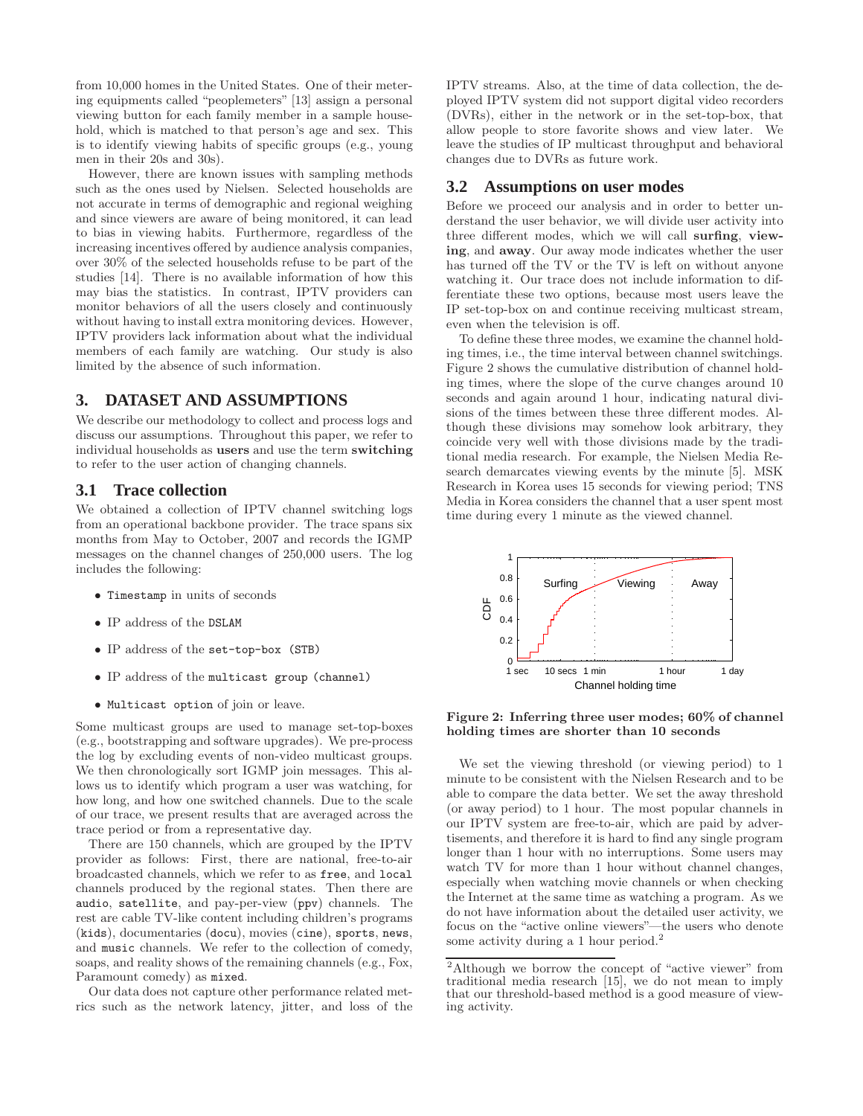from 10,000 homes in the United States. One of their metering equipments called "peoplemeters" [13] assign a personal viewing button for each family member in a sample household, which is matched to that person's age and sex. This is to identify viewing habits of specific groups (e.g., young men in their 20s and 30s).

However, there are known issues with sampling methods such as the ones used by Nielsen. Selected households are not accurate in terms of demographic and regional weighing and since viewers are aware of being monitored, it can lead to bias in viewing habits. Furthermore, regardless of the increasing incentives offered by audience analysis companies, over 30% of the selected households refuse to be part of the studies [14]. There is no available information of how this may bias the statistics. In contrast, IPTV providers can monitor behaviors of all the users closely and continuously without having to install extra monitoring devices. However, IPTV providers lack information about what the individual members of each family are watching. Our study is also limited by the absence of such information.

## **3. DATASET AND ASSUMPTIONS**

We describe our methodology to collect and process logs and discuss our assumptions. Throughout this paper, we refer to individual households as users and use the term switching to refer to the user action of changing channels.

#### **3.1 Trace collection**

We obtained a collection of IPTV channel switching logs from an operational backbone provider. The trace spans six months from May to October, 2007 and records the IGMP messages on the channel changes of 250,000 users. The log includes the following:

- Timestamp in units of seconds
- IP address of the DSLAM
- IP address of the set-top-box (STB)
- IP address of the multicast group (channel)
- Multicast option of join or leave.

Some multicast groups are used to manage set-top-boxes (e.g., bootstrapping and software upgrades). We pre-process the log by excluding events of non-video multicast groups. We then chronologically sort IGMP join messages. This allows us to identify which program a user was watching, for how long, and how one switched channels. Due to the scale of our trace, we present results that are averaged across the trace period or from a representative day.

There are 150 channels, which are grouped by the IPTV provider as follows: First, there are national, free-to-air broadcasted channels, which we refer to as free, and local channels produced by the regional states. Then there are audio, satellite, and pay-per-view (ppv) channels. The rest are cable TV-like content including children's programs (kids), documentaries (docu), movies (cine), sports, news, and music channels. We refer to the collection of comedy, soaps, and reality shows of the remaining channels (e.g., Fox, Paramount comedy) as mixed.

Our data does not capture other performance related metrics such as the network latency, jitter, and loss of the IPTV streams. Also, at the time of data collection, the deployed IPTV system did not support digital video recorders (DVRs), either in the network or in the set-top-box, that allow people to store favorite shows and view later. We leave the studies of IP multicast throughput and behavioral changes due to DVRs as future work.

# **3.2 Assumptions on user modes**

Before we proceed our analysis and in order to better understand the user behavior, we will divide user activity into three different modes, which we will call surfing, viewing, and away. Our away mode indicates whether the user has turned off the TV or the TV is left on without anyone watching it. Our trace does not include information to differentiate these two options, because most users leave the IP set-top-box on and continue receiving multicast stream, even when the television is off.

To define these three modes, we examine the channel holding times, i.e., the time interval between channel switchings. Figure 2 shows the cumulative distribution of channel holding times, where the slope of the curve changes around 10 seconds and again around 1 hour, indicating natural divisions of the times between these three different modes. Although these divisions may somehow look arbitrary, they coincide very well with those divisions made by the traditional media research. For example, the Nielsen Media Research demarcates viewing events by the minute [5]. MSK Research in Korea uses 15 seconds for viewing period; TNS Media in Korea considers the channel that a user spent most time during every 1 minute as the viewed channel.



Figure 2: Inferring three user modes; 60% of channel holding times are shorter than 10 seconds

We set the viewing threshold (or viewing period) to 1 minute to be consistent with the Nielsen Research and to be able to compare the data better. We set the away threshold (or away period) to 1 hour. The most popular channels in our IPTV system are free-to-air, which are paid by advertisements, and therefore it is hard to find any single program longer than 1 hour with no interruptions. Some users may watch TV for more than 1 hour without channel changes, especially when watching movie channels or when checking the Internet at the same time as watching a program. As we do not have information about the detailed user activity, we focus on the "active online viewers"—the users who denote some activity during a 1 hour period.<sup>2</sup>

<sup>2</sup>Although we borrow the concept of "active viewer" from traditional media research [15], we do not mean to imply that our threshold-based method is a good measure of viewing activity.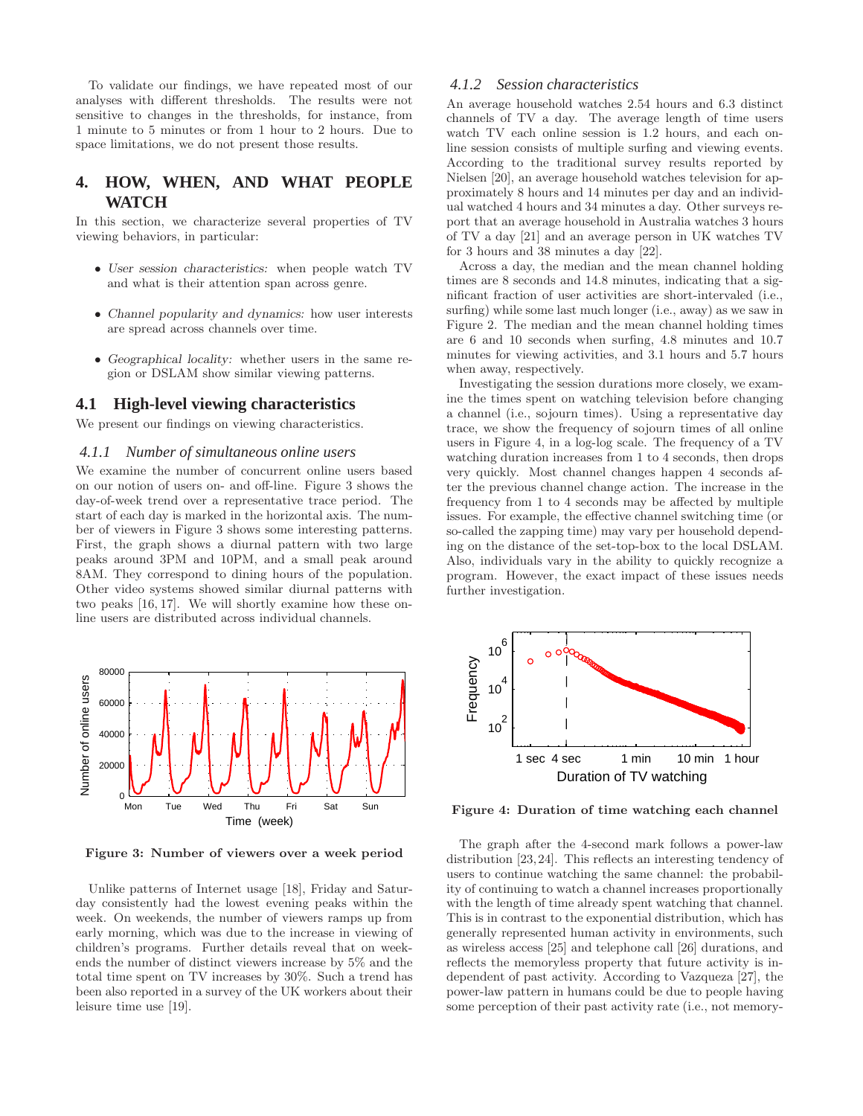To validate our findings, we have repeated most of our analyses with different thresholds. The results were not sensitive to changes in the thresholds, for instance, from 1 minute to 5 minutes or from 1 hour to 2 hours. Due to space limitations, we do not present those results.

# **4. HOW, WHEN, AND WHAT PEOPLE WATCH**

In this section, we characterize several properties of TV viewing behaviors, in particular:

- User session characteristics: when people watch TV and what is their attention span across genre.
- Channel popularity and dynamics: how user interests are spread across channels over time.
- Geographical locality: whether users in the same region or DSLAM show similar viewing patterns.

## **4.1 High-level viewing characteristics**

We present our findings on viewing characteristics.

#### *4.1.1 Number of simultaneous online users*

We examine the number of concurrent online users based on our notion of users on- and off-line. Figure 3 shows the day-of-week trend over a representative trace period. The start of each day is marked in the horizontal axis. The number of viewers in Figure 3 shows some interesting patterns. First, the graph shows a diurnal pattern with two large peaks around 3PM and 10PM, and a small peak around 8AM. They correspond to dining hours of the population. Other video systems showed similar diurnal patterns with two peaks [16, 17]. We will shortly examine how these online users are distributed across individual channels.



Figure 3: Number of viewers over a week period

Unlike patterns of Internet usage [18], Friday and Saturday consistently had the lowest evening peaks within the week. On weekends, the number of viewers ramps up from early morning, which was due to the increase in viewing of children's programs. Further details reveal that on weekends the number of distinct viewers increase by 5% and the total time spent on TV increases by 30%. Such a trend has been also reported in a survey of the UK workers about their leisure time use [19].

#### *4.1.2 Session characteristics*

An average household watches 2.54 hours and 6.3 distinct channels of TV a day. The average length of time users watch TV each online session is 1.2 hours, and each online session consists of multiple surfing and viewing events. According to the traditional survey results reported by Nielsen [20], an average household watches television for approximately 8 hours and 14 minutes per day and an individual watched 4 hours and 34 minutes a day. Other surveys report that an average household in Australia watches 3 hours of TV a day [21] and an average person in UK watches TV for 3 hours and 38 minutes a day [22].

Across a day, the median and the mean channel holding times are 8 seconds and 14.8 minutes, indicating that a significant fraction of user activities are short-intervaled (i.e., surfing) while some last much longer (i.e., away) as we saw in Figure 2. The median and the mean channel holding times are 6 and 10 seconds when surfing, 4.8 minutes and 10.7 minutes for viewing activities, and 3.1 hours and 5.7 hours when away, respectively.

Investigating the session durations more closely, we examine the times spent on watching television before changing a channel (i.e., sojourn times). Using a representative day trace, we show the frequency of sojourn times of all online users in Figure 4, in a log-log scale. The frequency of a TV watching duration increases from 1 to 4 seconds, then drops very quickly. Most channel changes happen 4 seconds after the previous channel change action. The increase in the frequency from 1 to 4 seconds may be affected by multiple issues. For example, the effective channel switching time (or so-called the zapping time) may vary per household depending on the distance of the set-top-box to the local DSLAM. Also, individuals vary in the ability to quickly recognize a program. However, the exact impact of these issues needs further investigation.



Figure 4: Duration of time watching each channel

The graph after the 4-second mark follows a power-law distribution [23,24]. This reflects an interesting tendency of users to continue watching the same channel: the probability of continuing to watch a channel increases proportionally with the length of time already spent watching that channel. This is in contrast to the exponential distribution, which has generally represented human activity in environments, such as wireless access [25] and telephone call [26] durations, and reflects the memoryless property that future activity is independent of past activity. According to Vazqueza [27], the power-law pattern in humans could be due to people having some perception of their past activity rate (i.e., not memory-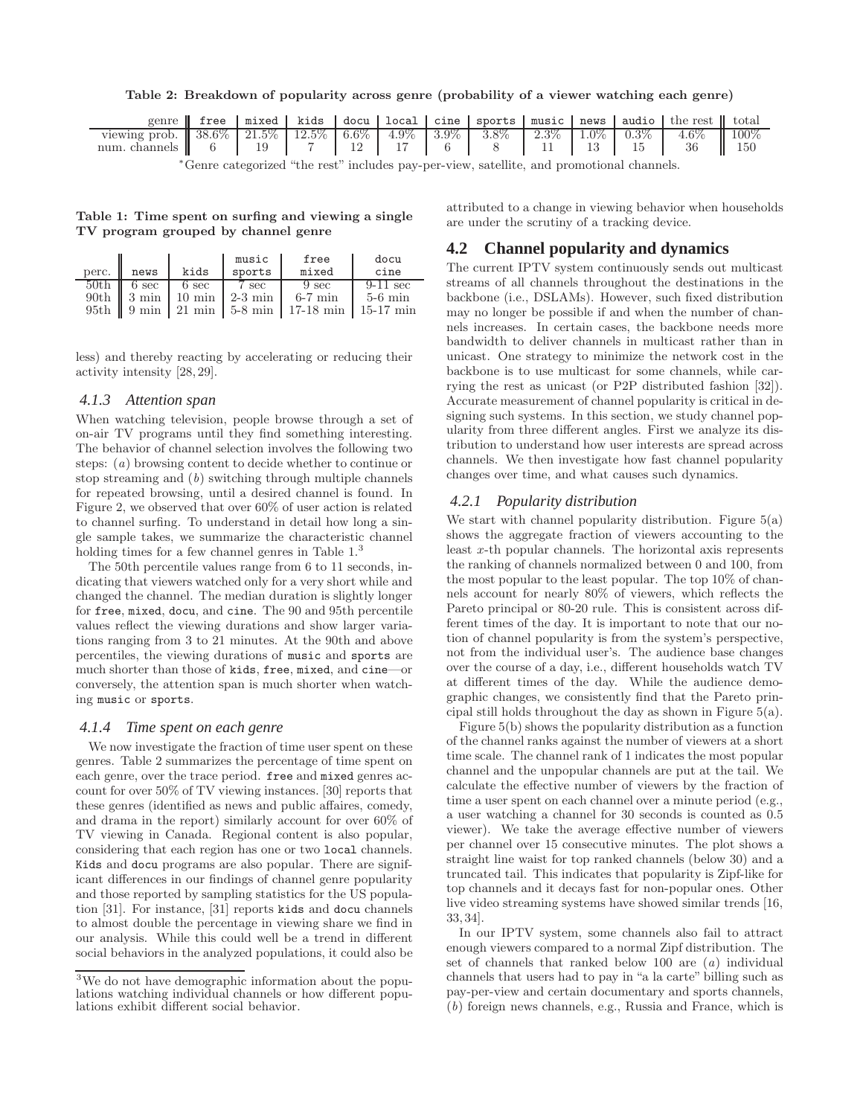Table 2: Breakdown of popularity across genre (probability of a viewer watching each genre)

|  |  |  |  |  | genre    free   mixed   kids   docu   local   cine   sports   music   news   audio   the rest    total |  |
|--|--|--|--|--|--------------------------------------------------------------------------------------------------------|--|
|  |  |  |  |  |                                                                                                        |  |
|  |  |  |  |  |                                                                                                        |  |

Genre categorized "the rest" includes pay-per-view, satellite, and promotional channels.

Table 1: Time spent on surfing and viewing a single TV program grouped by channel genre

|       |                |       | music                                                         | free                                                     | docu               |
|-------|----------------|-------|---------------------------------------------------------------|----------------------------------------------------------|--------------------|
| perc. | news           | kids  | sports                                                        | mixed                                                    | cine               |
|       | $50th$   6 sec | 6 sec | 7 sec                                                         | 9 sec                                                    | $9-11 \text{ sec}$ |
|       |                |       | 90th $\parallel$ 3 min $\parallel$ 10 min $\parallel$ 2-3 min | $6-7$ min                                                | $1.5-6$ min        |
|       |                |       |                                                               | 95th    9 min   21 min   5-8 min   17-18 min   15-17 min |                    |

less) and thereby reacting by accelerating or reducing their activity intensity [28, 29].

#### *4.1.3 Attention span*

When watching television, people browse through a set of on-air TV programs until they find something interesting. The behavior of channel selection involves the following two steps: (a) browsing content to decide whether to continue or stop streaming and  $(b)$  switching through multiple channels for repeated browsing, until a desired channel is found. In Figure 2, we observed that over 60% of user action is related to channel surfing. To understand in detail how long a single sample takes, we summarize the characteristic channel holding times for a few channel genres in Table  $1<sup>3</sup>$ 

The 50th percentile values range from 6 to 11 seconds, indicating that viewers watched only for a very short while and changed the channel. The median duration is slightly longer for free, mixed, docu, and cine. The 90 and 95th percentile values reflect the viewing durations and show larger variations ranging from 3 to 21 minutes. At the 90th and above percentiles, the viewing durations of music and sports are much shorter than those of kids, free, mixed, and cine—or conversely, the attention span is much shorter when watching music or sports.

#### *4.1.4 Time spent on each genre*

We now investigate the fraction of time user spent on these genres. Table 2 summarizes the percentage of time spent on each genre, over the trace period. free and mixed genres account for over 50% of TV viewing instances. [30] reports that these genres (identified as news and public affaires, comedy, and drama in the report) similarly account for over 60% of TV viewing in Canada. Regional content is also popular, considering that each region has one or two local channels. Kids and docu programs are also popular. There are significant differences in our findings of channel genre popularity and those reported by sampling statistics for the US population [31]. For instance, [31] reports kids and docu channels to almost double the percentage in viewing share we find in our analysis. While this could well be a trend in different social behaviors in the analyzed populations, it could also be

attributed to a change in viewing behavior when households are under the scrutiny of a tracking device.

# **4.2 Channel popularity and dynamics**

The current IPTV system continuously sends out multicast streams of all channels throughout the destinations in the backbone (i.e., DSLAMs). However, such fixed distribution may no longer be possible if and when the number of channels increases. In certain cases, the backbone needs more bandwidth to deliver channels in multicast rather than in unicast. One strategy to minimize the network cost in the backbone is to use multicast for some channels, while carrying the rest as unicast (or P2P distributed fashion [32]). Accurate measurement of channel popularity is critical in designing such systems. In this section, we study channel popularity from three different angles. First we analyze its distribution to understand how user interests are spread across channels. We then investigate how fast channel popularity changes over time, and what causes such dynamics.

#### *4.2.1 Popularity distribution*

We start with channel popularity distribution. Figure 5(a) shows the aggregate fraction of viewers accounting to the least x-th popular channels. The horizontal axis represents the ranking of channels normalized between 0 and 100, from the most popular to the least popular. The top 10% of channels account for nearly 80% of viewers, which reflects the Pareto principal or 80-20 rule. This is consistent across different times of the day. It is important to note that our notion of channel popularity is from the system's perspective, not from the individual user's. The audience base changes over the course of a day, i.e., different households watch TV at different times of the day. While the audience demographic changes, we consistently find that the Pareto principal still holds throughout the day as shown in Figure 5(a).

Figure 5(b) shows the popularity distribution as a function of the channel ranks against the number of viewers at a short time scale. The channel rank of 1 indicates the most popular channel and the unpopular channels are put at the tail. We calculate the effective number of viewers by the fraction of time a user spent on each channel over a minute period (e.g., a user watching a channel for 30 seconds is counted as 0.5 viewer). We take the average effective number of viewers per channel over 15 consecutive minutes. The plot shows a straight line waist for top ranked channels (below 30) and a truncated tail. This indicates that popularity is Zipf-like for top channels and it decays fast for non-popular ones. Other live video streaming systems have showed similar trends [16, 33, 34].

In our IPTV system, some channels also fail to attract enough viewers compared to a normal Zipf distribution. The set of channels that ranked below 100 are (a) individual channels that users had to pay in "a la carte" billing such as pay-per-view and certain documentary and sports channels, (b) foreign news channels, e.g., Russia and France, which is

<sup>3</sup>We do not have demographic information about the populations watching individual channels or how different populations exhibit different social behavior.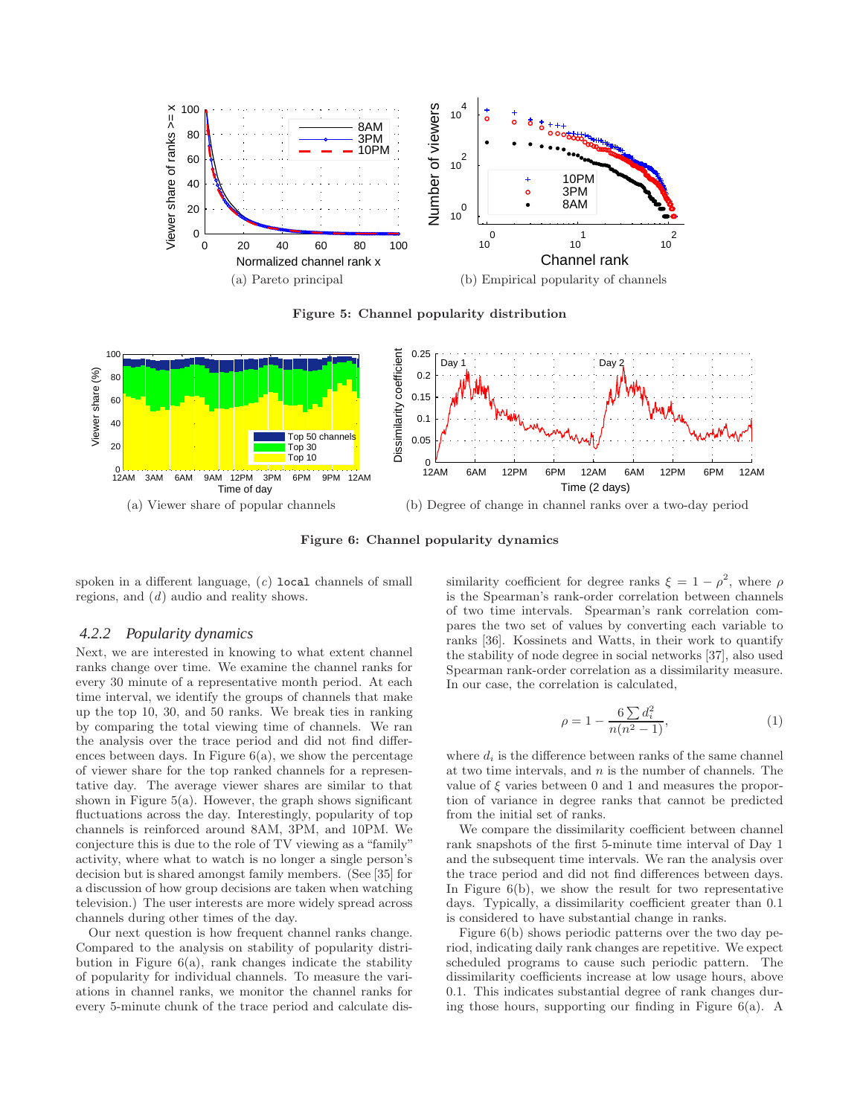

Figure 5: Channel popularity distribution



Figure 6: Channel popularity dynamics

spoken in a different language, (c) local channels of small regions, and (d) audio and reality shows.

## *4.2.2 Popularity dynamics*

Next, we are interested in knowing to what extent channel ranks change over time. We examine the channel ranks for every 30 minute of a representative month period. At each time interval, we identify the groups of channels that make up the top 10, 30, and 50 ranks. We break ties in ranking by comparing the total viewing time of channels. We ran the analysis over the trace period and did not find differences between days. In Figure  $6(a)$ , we show the percentage of viewer share for the top ranked channels for a representative day. The average viewer shares are similar to that shown in Figure  $5(a)$ . However, the graph shows significant fluctuations across the day. Interestingly, popularity of top channels is reinforced around 8AM, 3PM, and 10PM. We conjecture this is due to the role of TV viewing as a "family" activity, where what to watch is no longer a single person's decision but is shared amongst family members. (See [35] for a discussion of how group decisions are taken when watching television.) The user interests are more widely spread across channels during other times of the day.

Our next question is how frequent channel ranks change. Compared to the analysis on stability of popularity distribution in Figure  $6(a)$ , rank changes indicate the stability of popularity for individual channels. To measure the variations in channel ranks, we monitor the channel ranks for every 5-minute chunk of the trace period and calculate dis-

similarity coefficient for degree ranks  $\xi = 1 - \rho^2$ , where  $\rho$ is the Spearman's rank-order correlation between channels of two time intervals. Spearman's rank correlation compares the two set of values by converting each variable to ranks [36]. Kossinets and Watts, in their work to quantify the stability of node degree in social networks [37], also used Spearman rank-order correlation as a dissimilarity measure. In our case, the correlation is calculated,

$$
\rho = 1 - \frac{6\sum d_i^2}{n(n^2 - 1)},\tag{1}
$$

where  $d_i$  is the difference between ranks of the same channel at two time intervals, and  $n$  is the number of channels. The value of  $\xi$  varies between 0 and 1 and measures the proportion of variance in degree ranks that cannot be predicted from the initial set of ranks.

We compare the dissimilarity coefficient between channel rank snapshots of the first 5-minute time interval of Day 1 and the subsequent time intervals. We ran the analysis over the trace period and did not find differences between days. In Figure  $6(b)$ , we show the result for two representative days. Typically, a dissimilarity coefficient greater than 0.1 is considered to have substantial change in ranks.

Figure 6(b) shows periodic patterns over the two day period, indicating daily rank changes are repetitive. We expect scheduled programs to cause such periodic pattern. The dissimilarity coefficients increase at low usage hours, above 0.1. This indicates substantial degree of rank changes during those hours, supporting our finding in Figure  $6(a)$ . A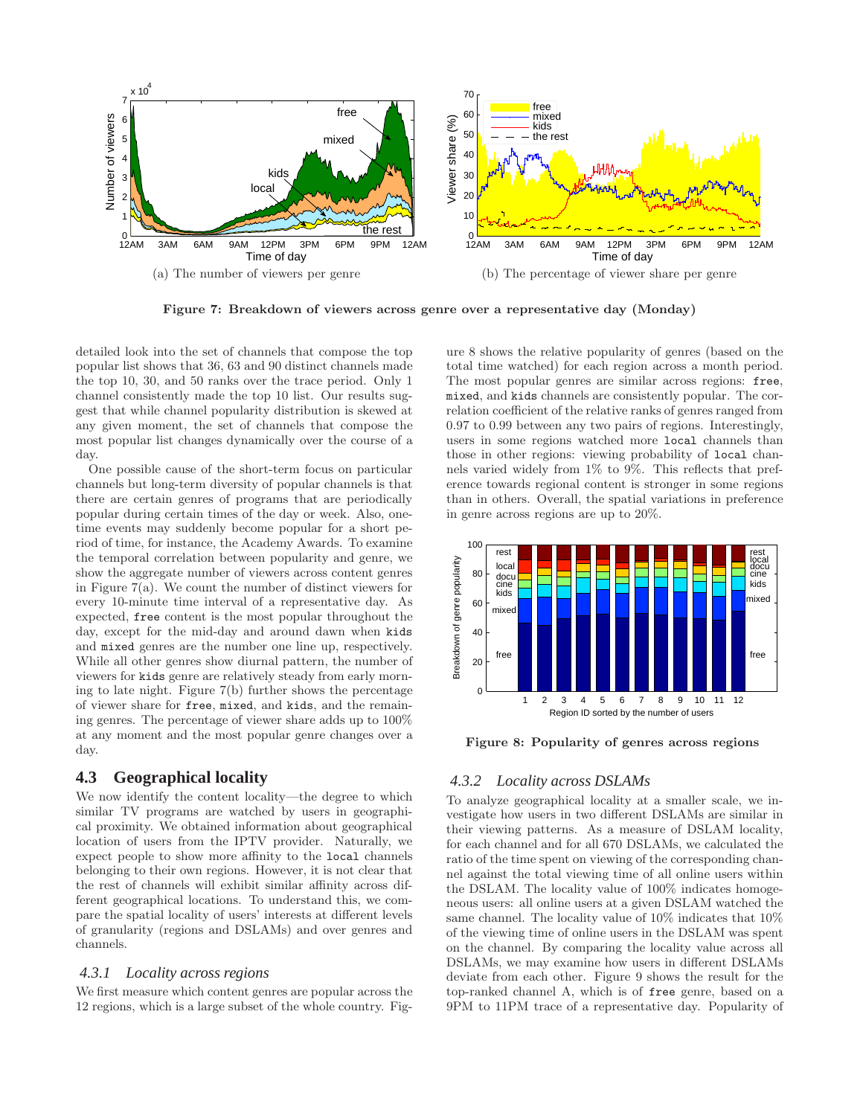

Figure 7: Breakdown of viewers across genre over a representative day (Monday)

detailed look into the set of channels that compose the top popular list shows that 36, 63 and 90 distinct channels made the top 10, 30, and 50 ranks over the trace period. Only 1 channel consistently made the top 10 list. Our results suggest that while channel popularity distribution is skewed at any given moment, the set of channels that compose the most popular list changes dynamically over the course of a day.

One possible cause of the short-term focus on particular channels but long-term diversity of popular channels is that there are certain genres of programs that are periodically popular during certain times of the day or week. Also, onetime events may suddenly become popular for a short period of time, for instance, the Academy Awards. To examine the temporal correlation between popularity and genre, we show the aggregate number of viewers across content genres in Figure 7(a). We count the number of distinct viewers for every 10-minute time interval of a representative day. As expected, free content is the most popular throughout the day, except for the mid-day and around dawn when kids and mixed genres are the number one line up, respectively. While all other genres show diurnal pattern, the number of viewers for kids genre are relatively steady from early morning to late night. Figure 7(b) further shows the percentage of viewer share for free, mixed, and kids, and the remaining genres. The percentage of viewer share adds up to 100% at any moment and the most popular genre changes over a day.

# **4.3 Geographical locality**

We now identify the content locality—the degree to which similar TV programs are watched by users in geographical proximity. We obtained information about geographical location of users from the IPTV provider. Naturally, we expect people to show more affinity to the local channels belonging to their own regions. However, it is not clear that the rest of channels will exhibit similar affinity across different geographical locations. To understand this, we compare the spatial locality of users' interests at different levels of granularity (regions and DSLAMs) and over genres and channels.

#### *4.3.1 Locality across regions*

We first measure which content genres are popular across the 12 regions, which is a large subset of the whole country. Figure 8 shows the relative popularity of genres (based on the total time watched) for each region across a month period. The most popular genres are similar across regions: free, mixed, and kids channels are consistently popular. The correlation coefficient of the relative ranks of genres ranged from 0.97 to 0.99 between any two pairs of regions. Interestingly, users in some regions watched more local channels than those in other regions: viewing probability of local channels varied widely from 1% to 9%. This reflects that preference towards regional content is stronger in some regions than in others. Overall, the spatial variations in preference in genre across regions are up to 20%.



Figure 8: Popularity of genres across regions

# *4.3.2 Locality across DSLAMs*

To analyze geographical locality at a smaller scale, we investigate how users in two different DSLAMs are similar in their viewing patterns. As a measure of DSLAM locality, for each channel and for all 670 DSLAMs, we calculated the ratio of the time spent on viewing of the corresponding channel against the total viewing time of all online users within the DSLAM. The locality value of 100% indicates homogeneous users: all online users at a given DSLAM watched the same channel. The locality value of 10% indicates that 10% of the viewing time of online users in the DSLAM was spent on the channel. By comparing the locality value across all DSLAMs, we may examine how users in different DSLAMs deviate from each other. Figure 9 shows the result for the top-ranked channel A, which is of free genre, based on a 9PM to 11PM trace of a representative day. Popularity of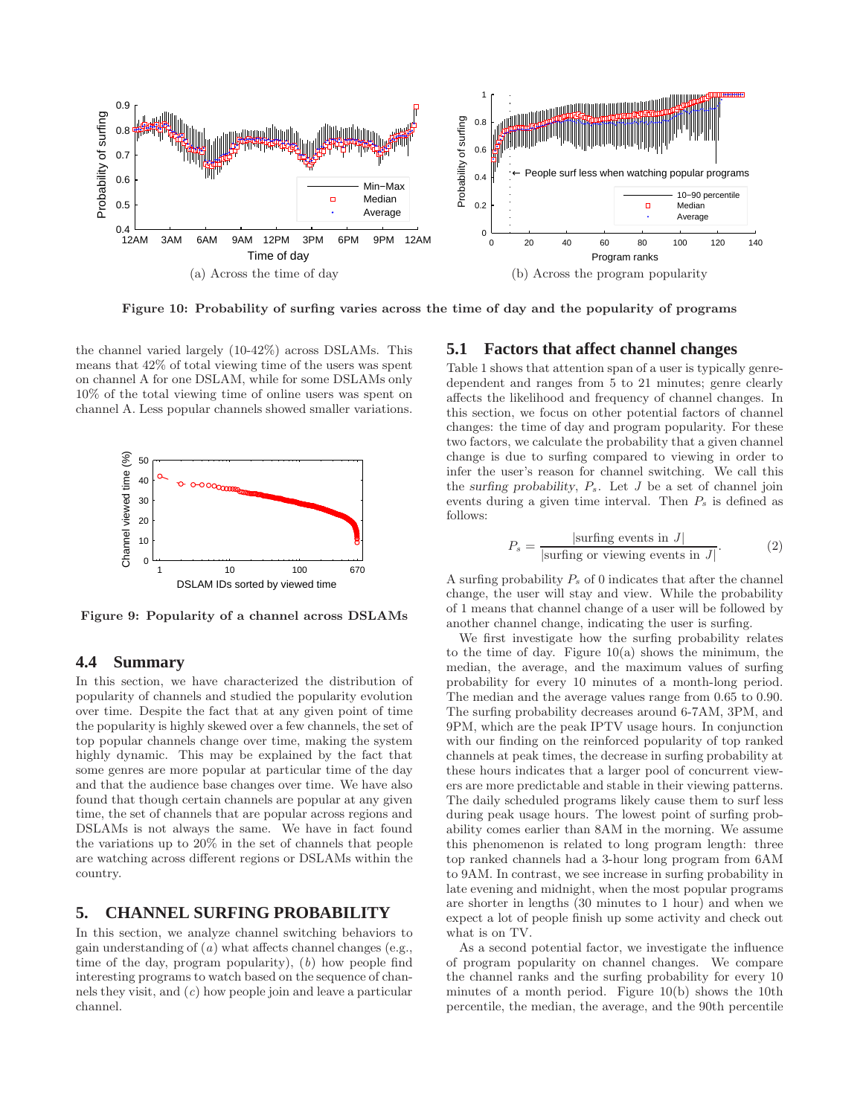

Figure 10: Probability of surfing varies across the time of day and the popularity of programs

the channel varied largely (10-42%) across DSLAMs. This means that 42% of total viewing time of the users was spent on channel A for one DSLAM, while for some DSLAMs only 10% of the total viewing time of online users was spent on channel A. Less popular channels showed smaller variations.



Figure 9: Popularity of a channel across DSLAMs

# **4.4 Summary**

In this section, we have characterized the distribution of popularity of channels and studied the popularity evolution over time. Despite the fact that at any given point of time the popularity is highly skewed over a few channels, the set of top popular channels change over time, making the system highly dynamic. This may be explained by the fact that some genres are more popular at particular time of the day and that the audience base changes over time. We have also found that though certain channels are popular at any given time, the set of channels that are popular across regions and DSLAMs is not always the same. We have in fact found the variations up to 20% in the set of channels that people are watching across different regions or DSLAMs within the country.

#### **5. CHANNEL SURFING PROBABILITY**

In this section, we analyze channel switching behaviors to gain understanding of  $(a)$  what affects channel changes  $(e.g.,)$ time of the day, program popularity),  $(b)$  how people find interesting programs to watch based on the sequence of channels they visit, and (c) how people join and leave a particular channel.

# **5.1 Factors that affect channel changes**

Table 1 shows that attention span of a user is typically genredependent and ranges from 5 to 21 minutes; genre clearly affects the likelihood and frequency of channel changes. In this section, we focus on other potential factors of channel changes: the time of day and program popularity. For these two factors, we calculate the probability that a given channel change is due to surfing compared to viewing in order to infer the user's reason for channel switching. We call this the surfing probability,  $P_s$ . Let  $J$  be a set of channel join events during a given time interval. Then  $P_s$  is defined as follows:

$$
P_s = \frac{|\text{surfing events in } J|}{|\text{surfing or viewing events in } J|}.
$$
 (2)

A surfing probability  $P_s$  of 0 indicates that after the channel change, the user will stay and view. While the probability of 1 means that channel change of a user will be followed by another channel change, indicating the user is surfing.

We first investigate how the surfing probability relates to the time of day. Figure  $10(a)$  shows the minimum, the median, the average, and the maximum values of surfing probability for every 10 minutes of a month-long period. The median and the average values range from 0.65 to 0.90. The surfing probability decreases around 6-7AM, 3PM, and 9PM, which are the peak IPTV usage hours. In conjunction with our finding on the reinforced popularity of top ranked channels at peak times, the decrease in surfing probability at these hours indicates that a larger pool of concurrent viewers are more predictable and stable in their viewing patterns. The daily scheduled programs likely cause them to surf less during peak usage hours. The lowest point of surfing probability comes earlier than 8AM in the morning. We assume this phenomenon is related to long program length: three top ranked channels had a 3-hour long program from 6AM to 9AM. In contrast, we see increase in surfing probability in late evening and midnight, when the most popular programs are shorter in lengths (30 minutes to 1 hour) and when we expect a lot of people finish up some activity and check out what is on TV.

As a second potential factor, we investigate the influence of program popularity on channel changes. We compare the channel ranks and the surfing probability for every 10 minutes of a month period. Figure 10(b) shows the 10th percentile, the median, the average, and the 90th percentile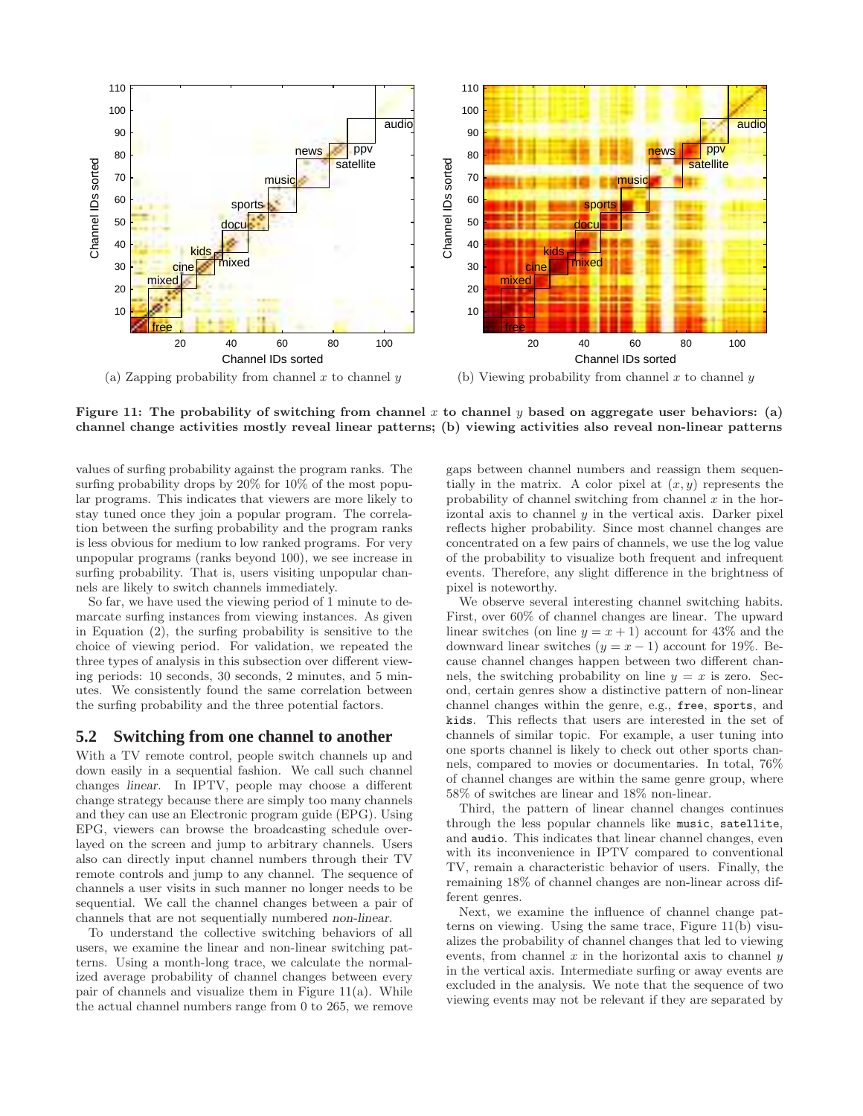

(a) Zapping probability from channel  $x$  to channel  $y$ 

(b) Viewing probability from channel  $x$  to channel  $y$ 

Figure 11: The probability of switching from channel x to channel y based on aggregate user behaviors: (a) channel change activities mostly reveal linear patterns; (b) viewing activities also reveal non-linear patterns

values of surfing probability against the program ranks. The surfing probability drops by 20% for 10% of the most popular programs. This indicates that viewers are more likely to stay tuned once they join a popular program. The correlation between the surfing probability and the program ranks is less obvious for medium to low ranked programs. For very unpopular programs (ranks beyond 100), we see increase in surfing probability. That is, users visiting unpopular channels are likely to switch channels immediately.

So far, we have used the viewing period of 1 minute to demarcate surfing instances from viewing instances. As given in Equation (2), the surfing probability is sensitive to the choice of viewing period. For validation, we repeated the three types of analysis in this subsection over different viewing periods: 10 seconds, 30 seconds, 2 minutes, and 5 minutes. We consistently found the same correlation between the surfing probability and the three potential factors.

## **5.2 Switching from one channel to another**

With a TV remote control, people switch channels up and down easily in a sequential fashion. We call such channel changes linear. In IPTV, people may choose a different change strategy because there are simply too many channels and they can use an Electronic program guide (EPG). Using EPG, viewers can browse the broadcasting schedule overlayed on the screen and jump to arbitrary channels. Users also can directly input channel numbers through their TV remote controls and jump to any channel. The sequence of channels a user visits in such manner no longer needs to be sequential. We call the channel changes between a pair of channels that are not sequentially numbered non-linear.

To understand the collective switching behaviors of all users, we examine the linear and non-linear switching patterns. Using a month-long trace, we calculate the normalized average probability of channel changes between every pair of channels and visualize them in Figure 11(a). While the actual channel numbers range from 0 to 265, we remove gaps between channel numbers and reassign them sequentially in the matrix. A color pixel at  $(x, y)$  represents the probability of channel switching from channel  $x$  in the horizontal axis to channel  $y$  in the vertical axis. Darker pixel reflects higher probability. Since most channel changes are concentrated on a few pairs of channels, we use the log value of the probability to visualize both frequent and infrequent events. Therefore, any slight difference in the brightness of pixel is noteworthy.

We observe several interesting channel switching habits. First, over 60% of channel changes are linear. The upward linear switches (on line  $y = x + 1$ ) account for 43\% and the downward linear switches  $(y = x - 1)$  account for 19%. Because channel changes happen between two different channels, the switching probability on line  $y = x$  is zero. Second, certain genres show a distinctive pattern of non-linear channel changes within the genre, e.g., free, sports, and kids. This reflects that users are interested in the set of channels of similar topic. For example, a user tuning into one sports channel is likely to check out other sports channels, compared to movies or documentaries. In total, 76% of channel changes are within the same genre group, where 58% of switches are linear and 18% non-linear.

Third, the pattern of linear channel changes continues through the less popular channels like music, satellite, and audio. This indicates that linear channel changes, even with its inconvenience in IPTV compared to conventional TV, remain a characteristic behavior of users. Finally, the remaining 18% of channel changes are non-linear across different genres.

Next, we examine the influence of channel change patterns on viewing. Using the same trace, Figure 11(b) visualizes the probability of channel changes that led to viewing events, from channel  $x$  in the horizontal axis to channel  $y$ in the vertical axis. Intermediate surfing or away events are excluded in the analysis. We note that the sequence of two viewing events may not be relevant if they are separated by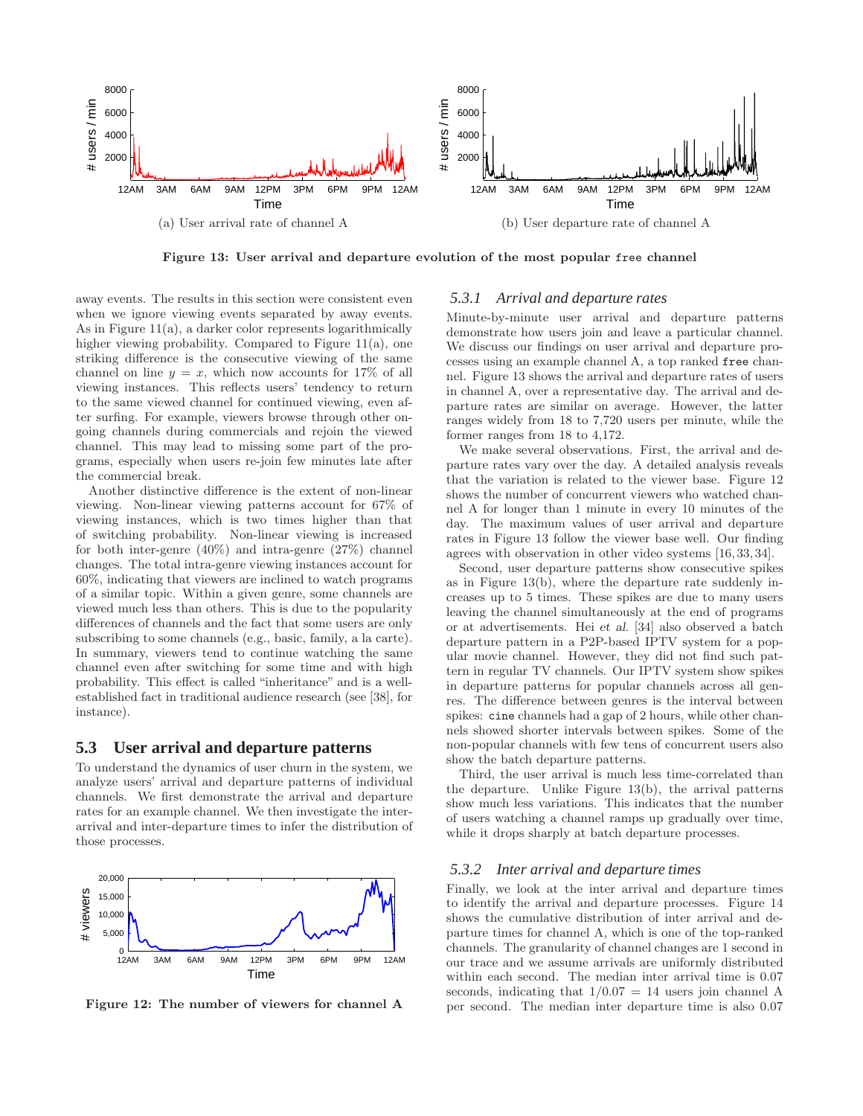

Figure 13: User arrival and departure evolution of the most popular free channel

away events. The results in this section were consistent even when we ignore viewing events separated by away events. As in Figure 11(a), a darker color represents logarithmically higher viewing probability. Compared to Figure 11(a), one striking difference is the consecutive viewing of the same channel on line  $y = x$ , which now accounts for 17% of all viewing instances. This reflects users' tendency to return to the same viewed channel for continued viewing, even after surfing. For example, viewers browse through other ongoing channels during commercials and rejoin the viewed channel. This may lead to missing some part of the programs, especially when users re-join few minutes late after the commercial break.

Another distinctive difference is the extent of non-linear viewing. Non-linear viewing patterns account for 67% of viewing instances, which is two times higher than that of switching probability. Non-linear viewing is increased for both inter-genre (40%) and intra-genre (27%) channel changes. The total intra-genre viewing instances account for 60%, indicating that viewers are inclined to watch programs of a similar topic. Within a given genre, some channels are viewed much less than others. This is due to the popularity differences of channels and the fact that some users are only subscribing to some channels (e.g., basic, family, a la carte). In summary, viewers tend to continue watching the same channel even after switching for some time and with high probability. This effect is called "inheritance" and is a wellestablished fact in traditional audience research (see [38], for instance).

#### **5.3 User arrival and departure patterns**

To understand the dynamics of user churn in the system, we analyze users' arrival and departure patterns of individual channels. We first demonstrate the arrival and departure rates for an example channel. We then investigate the interarrival and inter-departure times to infer the distribution of those processes.



Figure 12: The number of viewers for channel A

#### *5.3.1 Arrival and departure rates*

Minute-by-minute user arrival and departure patterns demonstrate how users join and leave a particular channel. We discuss our findings on user arrival and departure processes using an example channel A, a top ranked free channel. Figure 13 shows the arrival and departure rates of users in channel A, over a representative day. The arrival and departure rates are similar on average. However, the latter ranges widely from 18 to 7,720 users per minute, while the former ranges from 18 to 4,172.

We make several observations. First, the arrival and departure rates vary over the day. A detailed analysis reveals that the variation is related to the viewer base. Figure 12 shows the number of concurrent viewers who watched channel A for longer than 1 minute in every 10 minutes of the day. The maximum values of user arrival and departure rates in Figure 13 follow the viewer base well. Our finding agrees with observation in other video systems [16, 33, 34].

Second, user departure patterns show consecutive spikes as in Figure 13(b), where the departure rate suddenly increases up to 5 times. These spikes are due to many users leaving the channel simultaneously at the end of programs or at advertisements. Hei et al. [34] also observed a batch departure pattern in a P2P-based IPTV system for a popular movie channel. However, they did not find such pattern in regular TV channels. Our IPTV system show spikes in departure patterns for popular channels across all genres. The difference between genres is the interval between spikes: cine channels had a gap of 2 hours, while other channels showed shorter intervals between spikes. Some of the non-popular channels with few tens of concurrent users also show the batch departure patterns.

Third, the user arrival is much less time-correlated than the departure. Unlike Figure 13(b), the arrival patterns show much less variations. This indicates that the number of users watching a channel ramps up gradually over time, while it drops sharply at batch departure processes.

#### *5.3.2 Inter arrival and departure times*

Finally, we look at the inter arrival and departure times to identify the arrival and departure processes. Figure 14 shows the cumulative distribution of inter arrival and departure times for channel A, which is one of the top-ranked channels. The granularity of channel changes are 1 second in our trace and we assume arrivals are uniformly distributed within each second. The median inter arrival time is 0.07 seconds, indicating that  $1/0.07 = 14$  users join channel A per second. The median inter departure time is also 0.07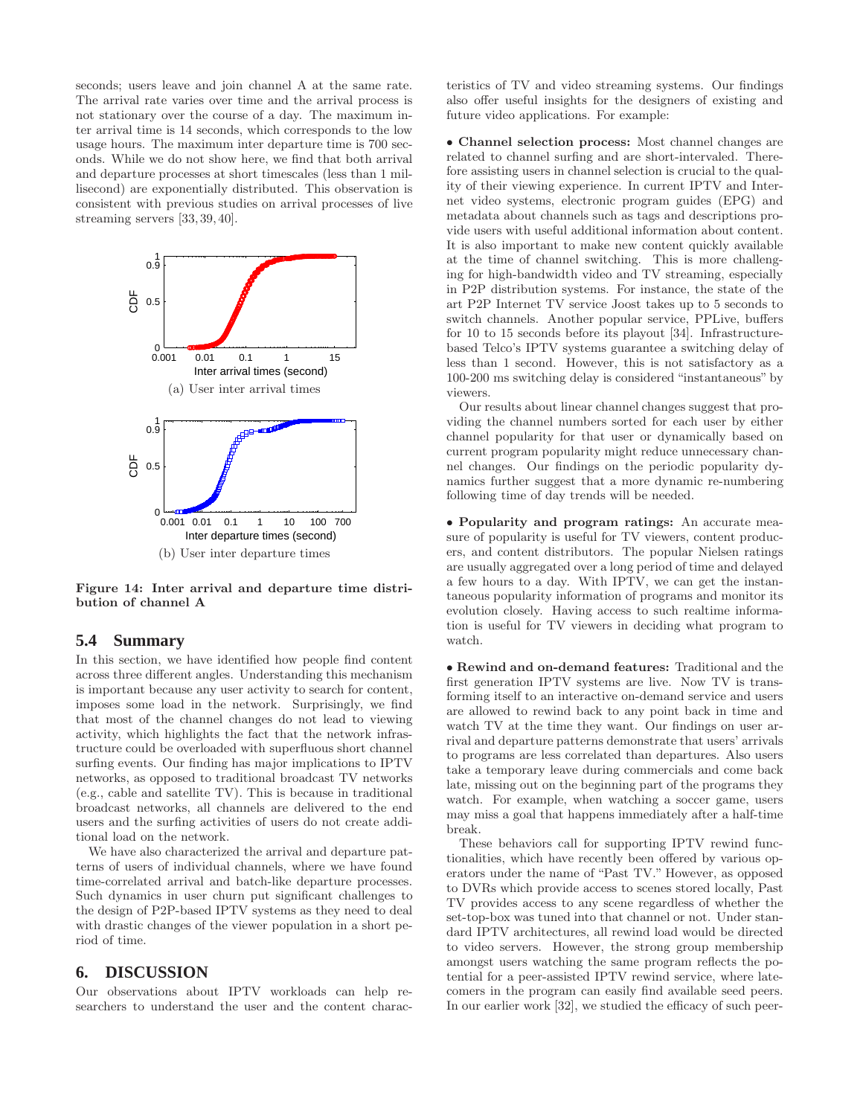seconds; users leave and join channel A at the same rate. The arrival rate varies over time and the arrival process is not stationary over the course of a day. The maximum inter arrival time is 14 seconds, which corresponds to the low usage hours. The maximum inter departure time is 700 seconds. While we do not show here, we find that both arrival and departure processes at short timescales (less than 1 millisecond) are exponentially distributed. This observation is consistent with previous studies on arrival processes of live streaming servers [33, 39, 40].



Figure 14: Inter arrival and departure time distribution of channel A

# **5.4 Summary**

In this section, we have identified how people find content across three different angles. Understanding this mechanism is important because any user activity to search for content, imposes some load in the network. Surprisingly, we find that most of the channel changes do not lead to viewing activity, which highlights the fact that the network infrastructure could be overloaded with superfluous short channel surfing events. Our finding has major implications to IPTV networks, as opposed to traditional broadcast TV networks (e.g., cable and satellite TV). This is because in traditional broadcast networks, all channels are delivered to the end users and the surfing activities of users do not create additional load on the network.

We have also characterized the arrival and departure patterns of users of individual channels, where we have found time-correlated arrival and batch-like departure processes. Such dynamics in user churn put significant challenges to the design of P2P-based IPTV systems as they need to deal with drastic changes of the viewer population in a short period of time.

# **6. DISCUSSION**

Our observations about IPTV workloads can help researchers to understand the user and the content characteristics of TV and video streaming systems. Our findings also offer useful insights for the designers of existing and future video applications. For example:

• Channel selection process: Most channel changes are related to channel surfing and are short-intervaled. Therefore assisting users in channel selection is crucial to the quality of their viewing experience. In current IPTV and Internet video systems, electronic program guides (EPG) and metadata about channels such as tags and descriptions provide users with useful additional information about content. It is also important to make new content quickly available at the time of channel switching. This is more challenging for high-bandwidth video and TV streaming, especially in P2P distribution systems. For instance, the state of the art P2P Internet TV service Joost takes up to 5 seconds to switch channels. Another popular service, PPLive, buffers for 10 to 15 seconds before its playout [34]. Infrastructurebased Telco's IPTV systems guarantee a switching delay of less than 1 second. However, this is not satisfactory as a 100-200 ms switching delay is considered "instantaneous" by viewers.

Our results about linear channel changes suggest that providing the channel numbers sorted for each user by either channel popularity for that user or dynamically based on current program popularity might reduce unnecessary channel changes. Our findings on the periodic popularity dynamics further suggest that a more dynamic re-numbering following time of day trends will be needed.

• Popularity and program ratings: An accurate measure of popularity is useful for TV viewers, content producers, and content distributors. The popular Nielsen ratings are usually aggregated over a long period of time and delayed a few hours to a day. With IPTV, we can get the instantaneous popularity information of programs and monitor its evolution closely. Having access to such realtime information is useful for TV viewers in deciding what program to watch.

• Rewind and on-demand features: Traditional and the first generation IPTV systems are live. Now TV is transforming itself to an interactive on-demand service and users are allowed to rewind back to any point back in time and watch TV at the time they want. Our findings on user arrival and departure patterns demonstrate that users' arrivals to programs are less correlated than departures. Also users take a temporary leave during commercials and come back late, missing out on the beginning part of the programs they watch. For example, when watching a soccer game, users may miss a goal that happens immediately after a half-time break.

These behaviors call for supporting IPTV rewind functionalities, which have recently been offered by various operators under the name of "Past TV." However, as opposed to DVRs which provide access to scenes stored locally, Past TV provides access to any scene regardless of whether the set-top-box was tuned into that channel or not. Under standard IPTV architectures, all rewind load would be directed to video servers. However, the strong group membership amongst users watching the same program reflects the potential for a peer-assisted IPTV rewind service, where latecomers in the program can easily find available seed peers. In our earlier work [32], we studied the efficacy of such peer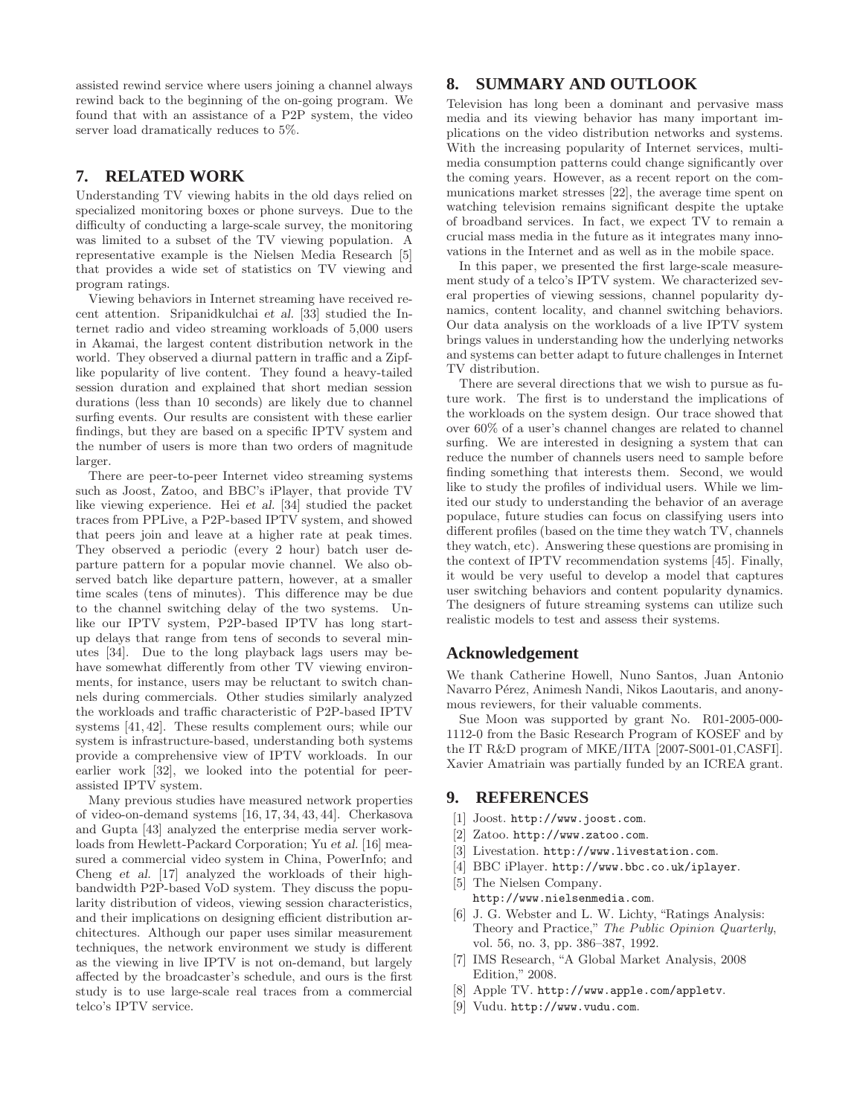assisted rewind service where users joining a channel always rewind back to the beginning of the on-going program. We found that with an assistance of a P2P system, the video server load dramatically reduces to 5%.

# **7. RELATED WORK**

Understanding TV viewing habits in the old days relied on specialized monitoring boxes or phone surveys. Due to the difficulty of conducting a large-scale survey, the monitoring was limited to a subset of the TV viewing population. A representative example is the Nielsen Media Research [5] that provides a wide set of statistics on TV viewing and program ratings.

Viewing behaviors in Internet streaming have received recent attention. Sripanidkulchai et al. [33] studied the Internet radio and video streaming workloads of 5,000 users in Akamai, the largest content distribution network in the world. They observed a diurnal pattern in traffic and a Zipflike popularity of live content. They found a heavy-tailed session duration and explained that short median session durations (less than 10 seconds) are likely due to channel surfing events. Our results are consistent with these earlier findings, but they are based on a specific IPTV system and the number of users is more than two orders of magnitude larger.

There are peer-to-peer Internet video streaming systems such as Joost, Zatoo, and BBC's iPlayer, that provide TV like viewing experience. Hei et al. [34] studied the packet traces from PPLive, a P2P-based IPTV system, and showed that peers join and leave at a higher rate at peak times. They observed a periodic (every 2 hour) batch user departure pattern for a popular movie channel. We also observed batch like departure pattern, however, at a smaller time scales (tens of minutes). This difference may be due to the channel switching delay of the two systems. Unlike our IPTV system, P2P-based IPTV has long startup delays that range from tens of seconds to several minutes [34]. Due to the long playback lags users may behave somewhat differently from other TV viewing environments, for instance, users may be reluctant to switch channels during commercials. Other studies similarly analyzed the workloads and traffic characteristic of P2P-based IPTV systems [41, 42]. These results complement ours; while our system is infrastructure-based, understanding both systems provide a comprehensive view of IPTV workloads. In our earlier work [32], we looked into the potential for peerassisted IPTV system.

Many previous studies have measured network properties of video-on-demand systems [16, 17, 34, 43, 44]. Cherkasova and Gupta [43] analyzed the enterprise media server workloads from Hewlett-Packard Corporation; Yu et al. [16] measured a commercial video system in China, PowerInfo; and Cheng et al. [17] analyzed the workloads of their highbandwidth P2P-based VoD system. They discuss the popularity distribution of videos, viewing session characteristics, and their implications on designing efficient distribution architectures. Although our paper uses similar measurement techniques, the network environment we study is different as the viewing in live IPTV is not on-demand, but largely affected by the broadcaster's schedule, and ours is the first study is to use large-scale real traces from a commercial telco's IPTV service.

# **8. SUMMARY AND OUTLOOK**

Television has long been a dominant and pervasive mass media and its viewing behavior has many important implications on the video distribution networks and systems. With the increasing popularity of Internet services, multimedia consumption patterns could change significantly over the coming years. However, as a recent report on the communications market stresses [22], the average time spent on watching television remains significant despite the uptake of broadband services. In fact, we expect TV to remain a crucial mass media in the future as it integrates many innovations in the Internet and as well as in the mobile space.

In this paper, we presented the first large-scale measurement study of a telco's IPTV system. We characterized several properties of viewing sessions, channel popularity dynamics, content locality, and channel switching behaviors. Our data analysis on the workloads of a live IPTV system brings values in understanding how the underlying networks and systems can better adapt to future challenges in Internet TV distribution.

There are several directions that we wish to pursue as future work. The first is to understand the implications of the workloads on the system design. Our trace showed that over 60% of a user's channel changes are related to channel surfing. We are interested in designing a system that can reduce the number of channels users need to sample before finding something that interests them. Second, we would like to study the profiles of individual users. While we limited our study to understanding the behavior of an average populace, future studies can focus on classifying users into different profiles (based on the time they watch TV, channels they watch, etc). Answering these questions are promising in the context of IPTV recommendation systems [45]. Finally, it would be very useful to develop a model that captures user switching behaviors and content popularity dynamics. The designers of future streaming systems can utilize such realistic models to test and assess their systems.

## **Acknowledgement**

We thank Catherine Howell, Nuno Santos, Juan Antonio Navarro Pérez, Animesh Nandi, Nikos Laoutaris, and anonymous reviewers, for their valuable comments.

Sue Moon was supported by grant No. R01-2005-000- 1112-0 from the Basic Research Program of KOSEF and by the IT R&D program of MKE/IITA [2007-S001-01,CASFI]. Xavier Amatriain was partially funded by an ICREA grant.

#### **9. REFERENCES**

- [1] Joost. http://www.joost.com.
- [2] Zatoo. http://www.zatoo.com.
- [3] Livestation. http://www.livestation.com.
- [4] BBC iPlayer. http://www.bbc.co.uk/iplayer.
- [5] The Nielsen Company. http://www.nielsenmedia.com.
- [6] J. G. Webster and L. W. Lichty, "Ratings Analysis: Theory and Practice," The Public Opinion Quarterly, vol. 56, no. 3, pp. 386–387, 1992.
- [7] IMS Research, "A Global Market Analysis, 2008 Edition," 2008.
- [8] Apple TV. http://www.apple.com/appletv.
- [9] Vudu. http://www.vudu.com.